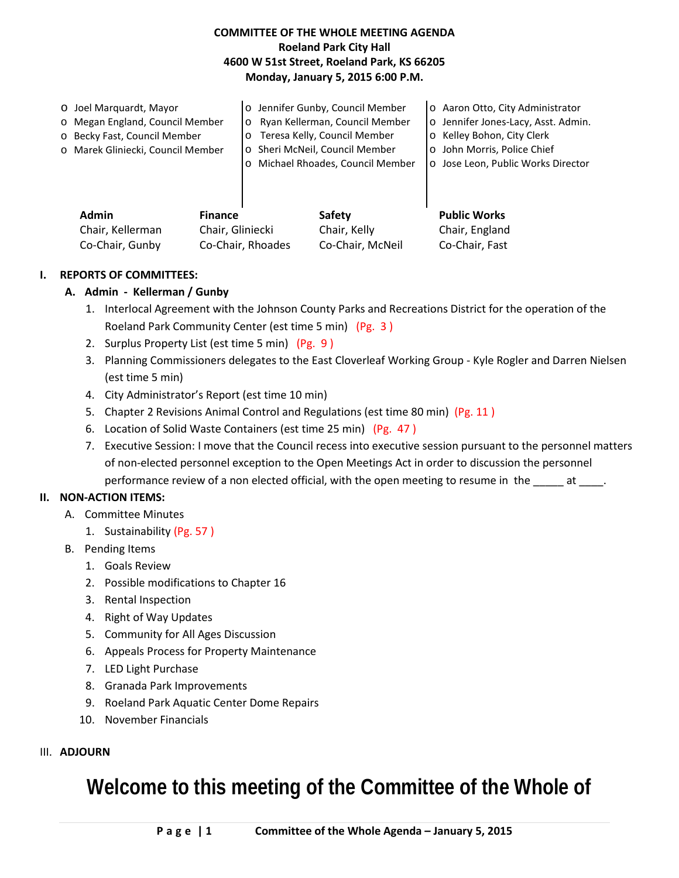### **COMMITTEE OF THE WHOLE MEETING AGENDA Roeland Park City Hall 4600 W 51st Street, Roeland Park, KS 66205 Monday, January 5, 2015 6:00 P.M.**

|  | O Joel Marquardt, Mayor                                                |  |                                  | o Jennifer Gunby, Council Member  | o Aaron Otto, City Administrator    |
|--|------------------------------------------------------------------------|--|----------------------------------|-----------------------------------|-------------------------------------|
|  | o Megan England, Council Member                                        |  | o Ryan Kellerman, Council Member |                                   | o Jennifer Jones-Lacy, Asst. Admin. |
|  | o Becky Fast, Council Member                                           |  | o Teresa Kelly, Council Member   |                                   | o Kelley Bohon, City Clerk          |
|  | o Marek Gliniecki, Council Member                                      |  | o Sheri McNeil, Council Member   |                                   | o John Morris, Police Chief         |
|  |                                                                        |  |                                  | o Michael Rhoades, Council Member | o Jose Leon, Public Works Director  |
|  |                                                                        |  |                                  |                                   |                                     |
|  |                                                                        |  |                                  |                                   |                                     |
|  | <b>Admin</b><br><b>Finance</b><br>Chair, Gliniecki<br>Chair, Kellerman |  |                                  |                                   |                                     |
|  |                                                                        |  |                                  | <b>Safety</b>                     | <b>Public Works</b>                 |
|  |                                                                        |  |                                  | Chair, Kelly                      | Chair, England                      |

### **I. REPORTS OF COMMITTEES:**

#### **A. Admin - Kellerman / Gunby**

- 1. Interlocal Agreement with the Johnson County Parks and Recreations District for the operation of the Roeland Park Community Center (est time 5 min) (Pg. 3 )
- 2. Surplus Property List (est time 5 min) (Pg. 9 )
- 3. Planning Commissioners delegates to the East Cloverleaf Working Group Kyle Rogler and Darren Nielsen (est time 5 min)
- 4. City Administrator's Report (est time 10 min)
- 5. Chapter 2 Revisions Animal Control and Regulations (est time 80 min) (Pg. 11 )

Co-Chair, Gunby Co-Chair, Rhoades Co-Chair, McNeil Co-Chair, Fast

- 6. Location of Solid Waste Containers (est time 25 min) (Pg. 47 )
- 7. Executive Session: I move that the Council recess into executive session pursuant to the personnel matters of non-elected personnel exception to the Open Meetings Act in order to discussion the personnel performance review of a non elected official, with the open meeting to resume in the \_\_\_\_\_\_ at \_\_\_\_.

### **II. NON-ACTION ITEMS:**

- A. Committee Minutes
	- 1. Sustainability (Pg. 57 )
- B. Pending Items
	- 1. Goals Review
	- 2. Possible modifications to Chapter 16
	- 3. Rental Inspection
	- 4. Right of Way Updates
	- 5. Community for All Ages Discussion
	- 6. Appeals Process for Property Maintenance
	- 7. LED Light Purchase
	- 8. Granada Park Improvements
	- 9. Roeland Park Aquatic Center Dome Repairs
	- 10. November Financials

#### III. **ADJOURN**

## **Welcome to this meeting of the Committee of the Whole of**